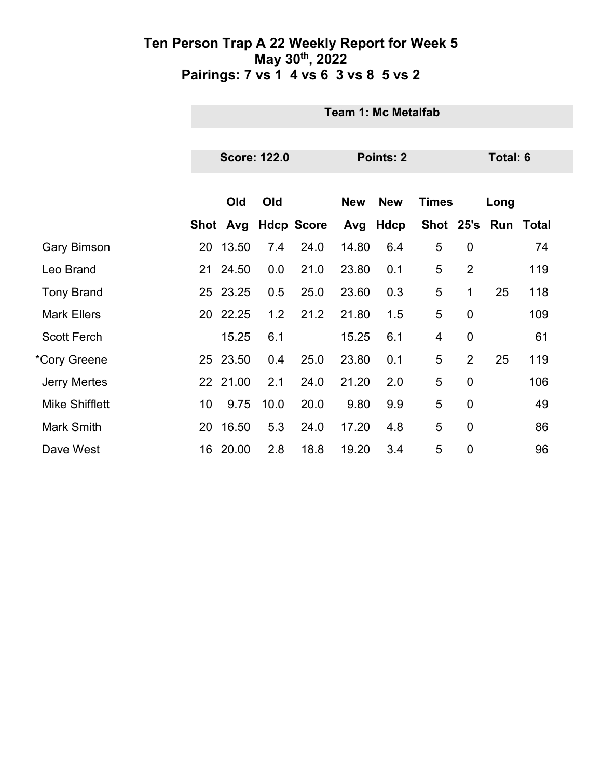|                       | <b>Team 1: Mc Metalfab</b> |          |      |                   |            |             |              |                |      |           |  |
|-----------------------|----------------------------|----------|------|-------------------|------------|-------------|--------------|----------------|------|-----------|--|
|                       |                            |          |      |                   |            |             |              |                |      |           |  |
|                       | <b>Score: 122.0</b>        |          |      |                   | Points: 2  | Total: 6    |              |                |      |           |  |
|                       |                            |          |      |                   |            |             |              |                |      |           |  |
|                       |                            | Old      | Old  |                   | <b>New</b> | <b>New</b>  | <b>Times</b> |                | Long |           |  |
|                       |                            | Shot Avg |      | <b>Hdcp Score</b> | Avg        | <b>Hdcp</b> | Shot 25's    |                |      | Run Total |  |
| <b>Gary Bimson</b>    | 20                         | 13.50    | 7.4  | 24.0              | 14.80      | 6.4         | 5            | $\mathbf 0$    |      | 74        |  |
| Leo Brand             |                            | 21 24.50 | 0.0  | 21.0              | 23.80      | 0.1         | 5            | $\overline{2}$ |      | 119       |  |
| <b>Tony Brand</b>     |                            | 25 23.25 | 0.5  | 25.0              | 23.60      | 0.3         | 5            | 1              | 25   | 118       |  |
| <b>Mark Ellers</b>    |                            | 20 22.25 | 1.2  | 21.2              | 21.80      | 1.5         | 5            | $\mathbf 0$    |      | 109       |  |
| <b>Scott Ferch</b>    |                            | 15.25    | 6.1  |                   | 15.25      | 6.1         | 4            | $\mathbf 0$    |      | 61        |  |
| *Cory Greene          |                            | 25 23.50 | 0.4  | 25.0              | 23.80      | 0.1         | 5            | $\overline{2}$ | 25   | 119       |  |
| <b>Jerry Mertes</b>   |                            | 22 21.00 | 2.1  | 24.0              | 21.20      | 2.0         | 5            | $\mathbf 0$    |      | 106       |  |
| <b>Mike Shifflett</b> | 10                         | 9.75     | 10.0 | 20.0              | 9.80       | 9.9         | 5            | $\overline{0}$ |      | 49        |  |
| Mark Smith            | 20                         | 16.50    | 5.3  | 24.0              | 17.20      | 4.8         | 5            | $\mathbf 0$    |      | 86        |  |
| Dave West             | 16                         | 20.00    | 2.8  | 18.8              | 19.20      | 3.4         | 5            | $\mathbf 0$    |      | 96        |  |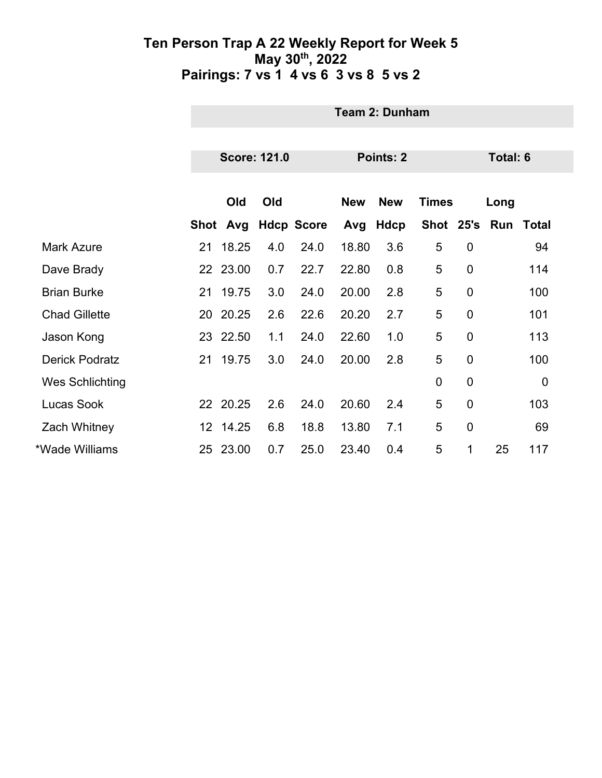|                        | <b>Team 2: Dunham</b> |                     |     |                   |            |             |               |                |          |              |  |
|------------------------|-----------------------|---------------------|-----|-------------------|------------|-------------|---------------|----------------|----------|--------------|--|
|                        |                       | <b>Score: 121.0</b> |     |                   |            | Points: 2   |               |                | Total: 6 |              |  |
|                        |                       |                     |     |                   |            |             |               |                |          |              |  |
|                        |                       | Old                 | Old |                   | <b>New</b> | <b>New</b>  | <b>Times</b>  |                | Long     |              |  |
|                        |                       | Shot Avg            |     | <b>Hdcp Score</b> | Avg        | <b>Hdcp</b> | Shot 25's Run |                |          | <b>Total</b> |  |
| <b>Mark Azure</b>      |                       | 21 18.25            | 4.0 | 24.0              | 18.80      | 3.6         | 5             | $\mathbf 0$    |          | 94           |  |
| Dave Brady             |                       | 22 23.00            | 0.7 | 22.7              | 22.80      | 0.8         | 5             | $\mathbf 0$    |          | 114          |  |
| <b>Brian Burke</b>     |                       | 21 19.75            | 3.0 | 24.0              | 20.00      | 2.8         | 5             | $\mathbf 0$    |          | 100          |  |
| <b>Chad Gillette</b>   |                       | 20 20.25            | 2.6 | 22.6              | 20.20      | 2.7         | 5             | $\mathbf 0$    |          | 101          |  |
| Jason Kong             |                       | 23 22.50            | 1.1 | 24.0              | 22.60      | 1.0         | 5             | $\overline{0}$ |          | 113          |  |
| <b>Derick Podratz</b>  |                       | 21 19.75            | 3.0 | 24.0              | 20.00      | 2.8         | 5             | 0              |          | 100          |  |
| <b>Wes Schlichting</b> |                       |                     |     |                   |            |             | $\mathbf 0$   | $\mathbf 0$    |          | $\mathbf 0$  |  |
| Lucas Sook             |                       | 22 20.25            | 2.6 | 24.0              | 20.60      | 2.4         | 5             | $\mathbf 0$    |          | 103          |  |
| <b>Zach Whitney</b>    |                       | 12 14.25            | 6.8 | 18.8              | 13.80      | 7.1         | 5             | $\mathbf 0$    |          | 69           |  |
| *Wade Williams         |                       | 25 23.00            | 0.7 | 25.0              | 23.40      | 0.4         | 5             | 1              | 25       | 117          |  |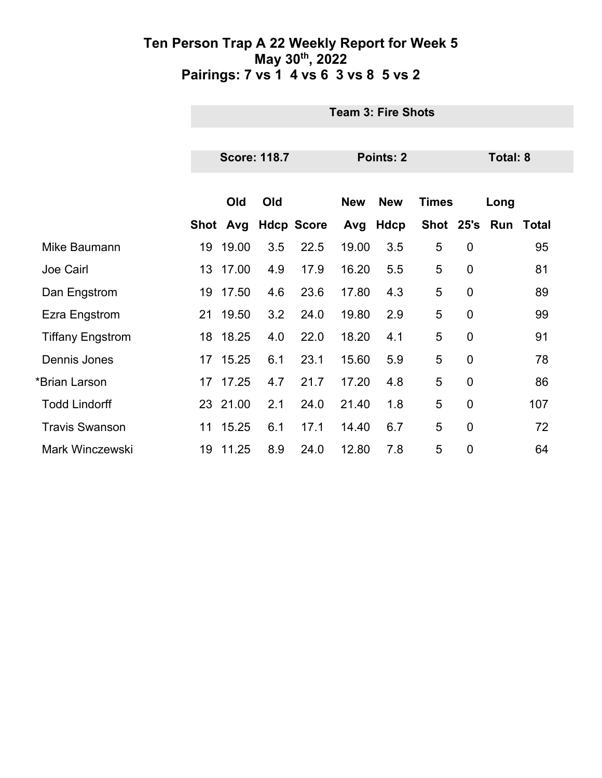|                         |      | <b>Team 3: Fire Shots</b> |     |                   |            |            |              |                 |               |       |  |
|-------------------------|------|---------------------------|-----|-------------------|------------|------------|--------------|-----------------|---------------|-------|--|
|                         |      |                           |     |                   |            |            |              |                 |               |       |  |
|                         |      | <b>Score: 118.7</b>       |     |                   |            | Points: 2  |              | <b>Total: 8</b> |               |       |  |
|                         |      |                           |     |                   |            |            |              |                 |               |       |  |
|                         |      | Old                       | Old |                   | <b>New</b> | <b>New</b> | <b>Times</b> |                 | Long          |       |  |
|                         | Shot | Avg                       |     | <b>Hdcp Score</b> | Avg        | Hdcp       |              |                 | Shot 25's Run | Total |  |
| Mike Baumann            | 19   | 19.00                     | 3.5 | 22.5              | 19.00      | 3.5        | 5            | $\mathbf 0$     |               | 95    |  |
| Joe Cairl               | 13   | 17.00                     | 4.9 | 17.9              | 16.20      | 5.5        | 5            | $\mathbf 0$     |               | 81    |  |
| Dan Engstrom            |      | 19 17.50                  | 4.6 | 23.6              | 17.80      | 4.3        | 5            | $\mathbf 0$     |               | 89    |  |
| Ezra Engstrom           |      | 21 19.50                  | 3.2 | 24.0              | 19.80      | 2.9        | 5            | $\mathbf 0$     |               | 99    |  |
| <b>Tiffany Engstrom</b> |      | 18 18.25                  | 4.0 | 22.0              | 18.20      | 4.1        | 5            | $\mathbf 0$     |               | 91    |  |
| Dennis Jones            |      | 17 15.25                  | 6.1 | 23.1              | 15.60      | 5.9        | 5            | $\mathbf 0$     |               | 78    |  |
| *Brian Larson           | 17   | 17.25                     | 4.7 | 21.7              | 17.20      | 4.8        | 5            | $\mathbf 0$     |               | 86    |  |
| <b>Todd Lindorff</b>    |      | 23 21.00                  | 2.1 | 24.0              | 21.40      | 1.8        | 5            | $\mathbf 0$     |               | 107   |  |
| <b>Travis Swanson</b>   |      | 11 15.25                  | 6.1 | 17.1              | 14.40      | 6.7        | 5            | $\overline{0}$  |               | 72    |  |
| <b>Mark Winczewski</b>  | 19   | 11.25                     | 8.9 | 24.0              | 12.80      | 7.8        | 5            | $\mathbf 0$     |               | 64    |  |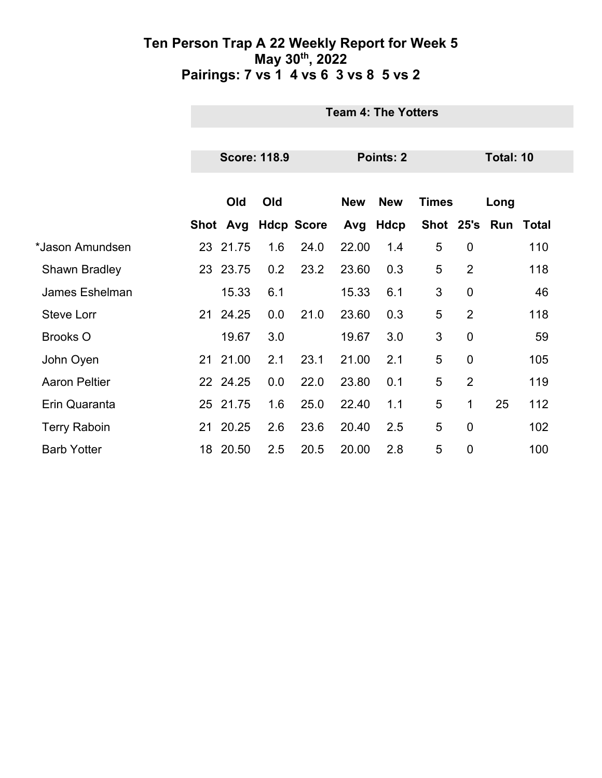|                      | <b>Team 4: The Yotters</b> |     |                   |            |             |              |                |           |                     |  |
|----------------------|----------------------------|-----|-------------------|------------|-------------|--------------|----------------|-----------|---------------------|--|
|                      | <b>Score: 118.9</b>        |     |                   |            | Points: 2   |              |                | Total: 10 |                     |  |
|                      |                            |     |                   |            |             |              |                |           |                     |  |
|                      | Old                        | Old |                   | <b>New</b> | <b>New</b>  | <b>Times</b> |                | Long      |                     |  |
|                      | Shot Avg                   |     | <b>Hdcp Score</b> | Avg        | <b>Hdcp</b> |              |                |           | Shot 25's Run Total |  |
| *Jason Amundsen      | 23 21.75                   | 1.6 | 24.0              | 22.00      | 1.4         | 5            | $\mathbf 0$    |           | 110                 |  |
| <b>Shawn Bradley</b> | 23 23.75                   | 0.2 | 23.2              | 23.60      | 0.3         | 5            | $\overline{2}$ |           | 118                 |  |
| James Eshelman       | 15.33                      | 6.1 |                   | 15.33      | 6.1         | 3            | $\overline{0}$ |           | 46                  |  |
| <b>Steve Lorr</b>    | 21 24.25                   | 0.0 | 21.0              | 23.60      | 0.3         | 5            | $\overline{2}$ |           | 118                 |  |
| <b>Brooks O</b>      | 19.67                      | 3.0 |                   | 19.67      | 3.0         | 3            | $\mathbf 0$    |           | 59                  |  |
| John Oyen            | 21 21.00                   | 2.1 | 23.1              | 21.00      | 2.1         | 5            | $\mathbf 0$    |           | 105                 |  |
| <b>Aaron Peltier</b> | 22 24.25                   | 0.0 | 22.0              | 23.80      | 0.1         | 5            | $\overline{2}$ |           | 119                 |  |
| Erin Quaranta        | 25 21.75                   | 1.6 | 25.0              | 22.40      | 1.1         | 5            | 1              | 25        | 112                 |  |
| <b>Terry Raboin</b>  | 21 20.25                   | 2.6 | 23.6              | 20.40      | 2.5         | 5            | $\mathbf 0$    |           | 102                 |  |
| <b>Barb Yotter</b>   | 18 20.50                   | 2.5 | 20.5              | 20.00      | 2.8         | 5            | $\mathbf 0$    |           | 100                 |  |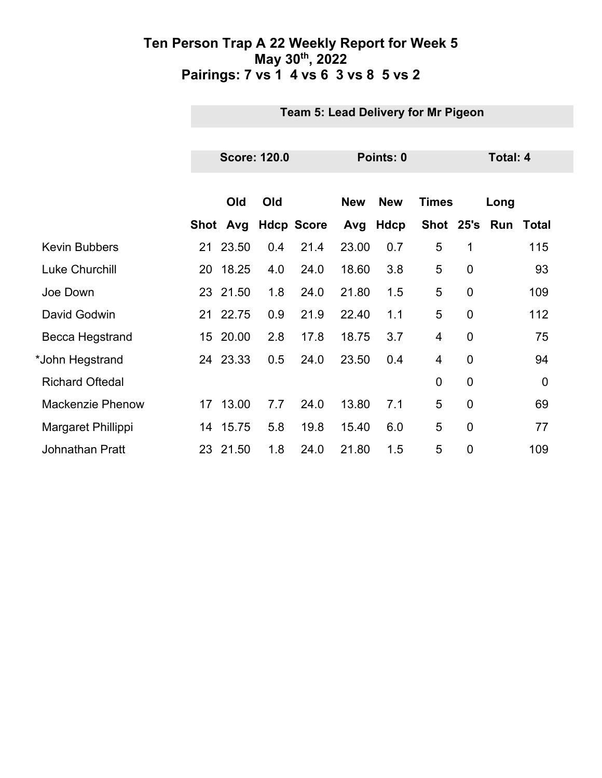|                         |    | Team 5: Lead Delivery for Mr Pigeon |     |                   |            |             |                |                |                 |       |  |
|-------------------------|----|-------------------------------------|-----|-------------------|------------|-------------|----------------|----------------|-----------------|-------|--|
|                         |    |                                     |     |                   |            |             |                |                |                 |       |  |
|                         |    | <b>Score: 120.0</b>                 |     |                   |            | Points: 0   |                |                | <b>Total: 4</b> |       |  |
|                         |    |                                     |     |                   |            |             |                |                |                 |       |  |
|                         |    | Old                                 | Old |                   | <b>New</b> | <b>New</b>  | <b>Times</b>   |                | Long            |       |  |
|                         |    | Shot Avg                            |     | <b>Hdcp Score</b> | Avg        | <b>Hdcp</b> |                |                | Shot 25's Run   | Total |  |
| <b>Kevin Bubbers</b>    |    | 21 23.50                            | 0.4 | 21.4              | 23.00      | 0.7         | 5              | 1              |                 | 115   |  |
| <b>Luke Churchill</b>   | 20 | 18.25                               | 4.0 | 24.0              | 18.60      | 3.8         | 5              | $\overline{0}$ |                 | 93    |  |
| Joe Down                |    | 23 21.50                            | 1.8 | 24.0              | 21.80      | 1.5         | 5              | $\mathbf 0$    |                 | 109   |  |
| David Godwin            |    | 21 22.75                            | 0.9 | 21.9              | 22.40      | 1.1         | 5              | 0              |                 | 112   |  |
| Becca Hegstrand         |    | 15 20.00                            | 2.8 | 17.8              | 18.75      | 3.7         | $\overline{4}$ | $\overline{0}$ |                 | 75    |  |
| *John Hegstrand         |    | 24 23.33                            | 0.5 | 24.0              | 23.50      | 0.4         | 4              | $\mathbf 0$    |                 | 94    |  |
| <b>Richard Oftedal</b>  |    |                                     |     |                   |            |             | $\overline{0}$ | 0              |                 | 0     |  |
| <b>Mackenzie Phenow</b> |    | 17 13.00                            | 7.7 | 24.0              | 13.80      | 7.1         | 5              | 0              |                 | 69    |  |
| Margaret Phillippi      |    | 14 15.75                            | 5.8 | 19.8              | 15.40      | 6.0         | 5              | $\mathbf 0$    |                 | 77    |  |
| <b>Johnathan Pratt</b>  |    | 23 21.50                            | 1.8 | 24.0              | 21.80      | 1.5         | 5              | $\mathbf 0$    |                 | 109   |  |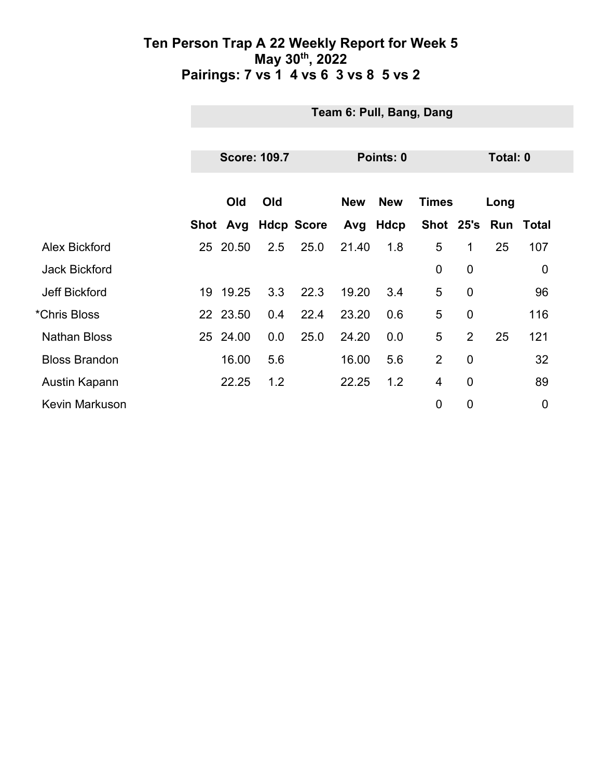|                       |    | Team 6: Pull, Bang, Dang |     |                   |            |             |                |                |          |                  |  |
|-----------------------|----|--------------------------|-----|-------------------|------------|-------------|----------------|----------------|----------|------------------|--|
|                       |    |                          |     |                   |            |             |                |                |          |                  |  |
|                       |    | <b>Score: 109.7</b>      |     |                   |            | Points: 0   |                |                | Total: 0 |                  |  |
|                       |    |                          |     |                   |            |             |                |                |          |                  |  |
|                       |    | Old                      | Old |                   | <b>New</b> | <b>New</b>  | <b>Times</b>   |                | Long     |                  |  |
|                       |    | Shot Avg                 |     | <b>Hdcp Score</b> | Avg        | <b>Hdcp</b> | Shot 25's      |                |          | <b>Run Total</b> |  |
| Alex Bickford         |    | 25 20.50                 | 2.5 | 25.0              | 21.40      | 1.8         | 5              | 1              | 25       | 107              |  |
| <b>Jack Bickford</b>  |    |                          |     |                   |            |             | $\mathbf 0$    | $\mathbf 0$    |          | $\boldsymbol{0}$ |  |
| <b>Jeff Bickford</b>  | 19 | 19.25                    | 3.3 | 22.3              | 19.20      | 3.4         | 5              | $\overline{0}$ |          | 96               |  |
| *Chris Bloss          |    | 22 23.50                 | 0.4 | 22.4              | 23.20      | 0.6         | 5              | $\mathbf 0$    |          | 116              |  |
| <b>Nathan Bloss</b>   |    | 25 24.00                 | 0.0 | 25.0              | 24.20      | 0.0         | 5              | $\overline{2}$ | 25       | 121              |  |
| <b>Bloss Brandon</b>  |    | 16.00                    | 5.6 |                   | 16.00      | 5.6         | 2              | $\mathbf 0$    |          | 32               |  |
| Austin Kapann         |    | 22.25                    | 1.2 |                   | 22.25      | 1.2         | $\overline{4}$ | $\overline{0}$ |          | 89               |  |
| <b>Kevin Markuson</b> |    |                          |     |                   |            |             | $\mathbf 0$    | $\mathbf 0$    |          | $\mathbf 0$      |  |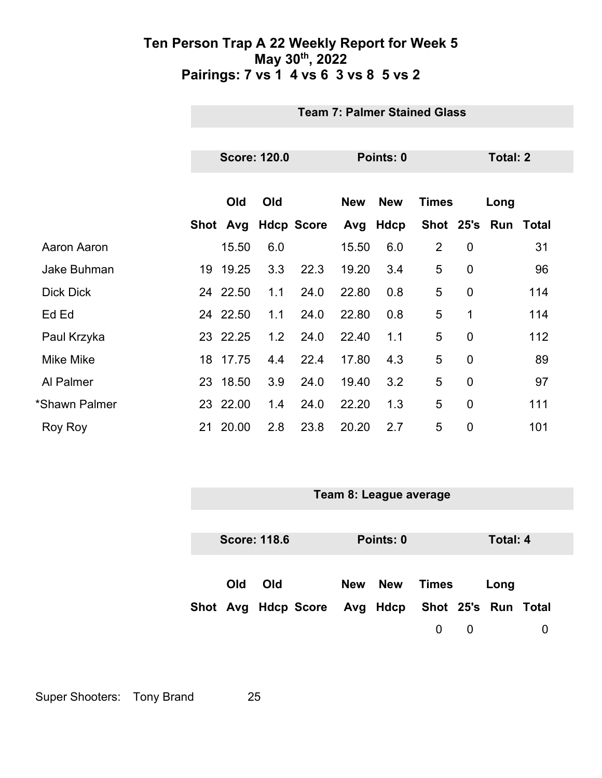|                  | <b>Team 7: Palmer Stained Glass</b> |          |     |                   |            |              |                |                 |                     |     |
|------------------|-------------------------------------|----------|-----|-------------------|------------|--------------|----------------|-----------------|---------------------|-----|
|                  |                                     |          |     |                   |            |              |                |                 |                     |     |
|                  | <b>Score: 120.0</b>                 |          |     |                   | Points: 0  |              |                | <b>Total: 2</b> |                     |     |
|                  | Old<br>Old                          |          |     | <b>New</b>        | <b>New</b> | <b>Times</b> | Long           |                 |                     |     |
|                  |                                     | Shot Avg |     | <b>Hdcp Score</b> |            | Avg Hdcp     |                |                 | Shot 25's Run Total |     |
| Aaron Aaron      |                                     | 15.50    | 6.0 |                   | 15.50      | 6.0          | $\overline{2}$ | $\mathbf 0$     |                     | 31  |
| Jake Buhman      | 19                                  | 19.25    | 3.3 | 22.3              | 19.20      | 3.4          | 5              | $\mathbf 0$     |                     | 96  |
| <b>Dick Dick</b> |                                     | 24 22.50 | 1.1 | 24.0              | 22.80      | 0.8          | 5              | $\mathbf 0$     |                     | 114 |
| Ed Ed            |                                     | 24 22.50 | 1.1 | 24.0              | 22.80      | 0.8          | 5              | 1               |                     | 114 |
| Paul Krzyka      |                                     | 23 22.25 | 1.2 | 24.0              | 22.40      | 1.1          | 5              | $\overline{0}$  |                     | 112 |
| <b>Mike Mike</b> |                                     | 18 17.75 | 4.4 | 22.4              | 17.80      | 4.3          | 5              | $\overline{0}$  |                     | 89  |
| Al Palmer        |                                     | 23 18.50 | 3.9 | 24.0              | 19.40      | 3.2          | 5              | $\overline{0}$  |                     | 97  |
| *Shawn Palmer    |                                     | 23 22.00 | 1.4 | 24.0              | 22.20      | 1.3          | 5              | $\mathbf 0$     |                     | 111 |
| Roy Roy          |                                     | 21 20.00 | 2.8 | 23.8              | 20.20      | 2.7          | 5              | 0               |                     | 101 |

| Team 8: League average |                     |                     |  |                              |       |             |          |   |
|------------------------|---------------------|---------------------|--|------------------------------|-------|-------------|----------|---|
|                        |                     |                     |  |                              |       |             |          |   |
|                        | <b>Score: 118.6</b> |                     |  | Points: 0                    |       |             | Total: 4 |   |
|                        |                     |                     |  |                              |       |             |          |   |
| Old                    | Old                 |                     |  | New New                      | Times |             | Long     |   |
|                        |                     | Shot Avg Hdcp Score |  | Avg Hdcp Shot 25's Run Total |       |             |          |   |
|                        |                     |                     |  |                              | 0     | $\mathbf 0$ |          | 0 |

Super Shooters: Tony Brand 25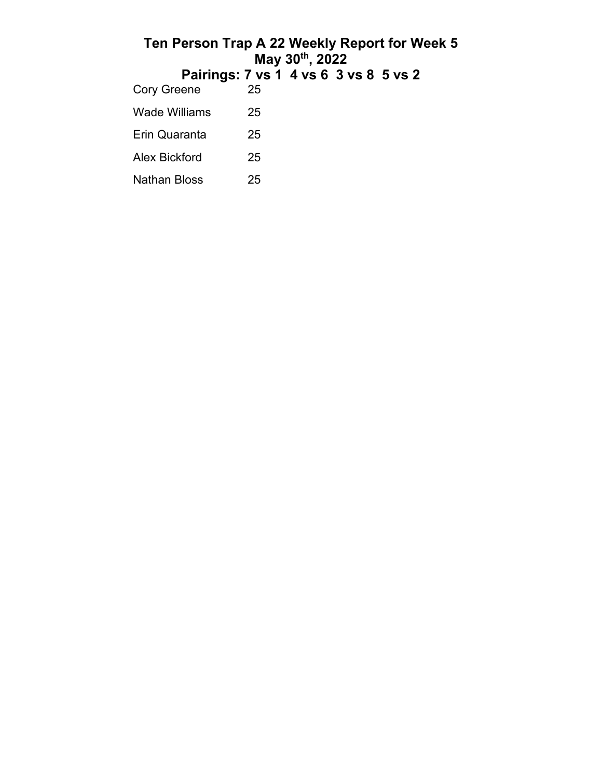|                    | Ten Person Trap A 22 Weekly Report for Week 5<br>May 30th, 2022 |  |  |  |  |  |  |  |
|--------------------|-----------------------------------------------------------------|--|--|--|--|--|--|--|
|                    | Pairings: 7 vs 1 4 vs 6 3 vs 8 5 vs 2                           |  |  |  |  |  |  |  |
| <b>Cory Greene</b> | 25                                                              |  |  |  |  |  |  |  |
| Wade Williams      | 25                                                              |  |  |  |  |  |  |  |
| Erin Quaranta      | 25                                                              |  |  |  |  |  |  |  |
| Alex Bickford      | 25                                                              |  |  |  |  |  |  |  |
| Nathan Bloss       | 25                                                              |  |  |  |  |  |  |  |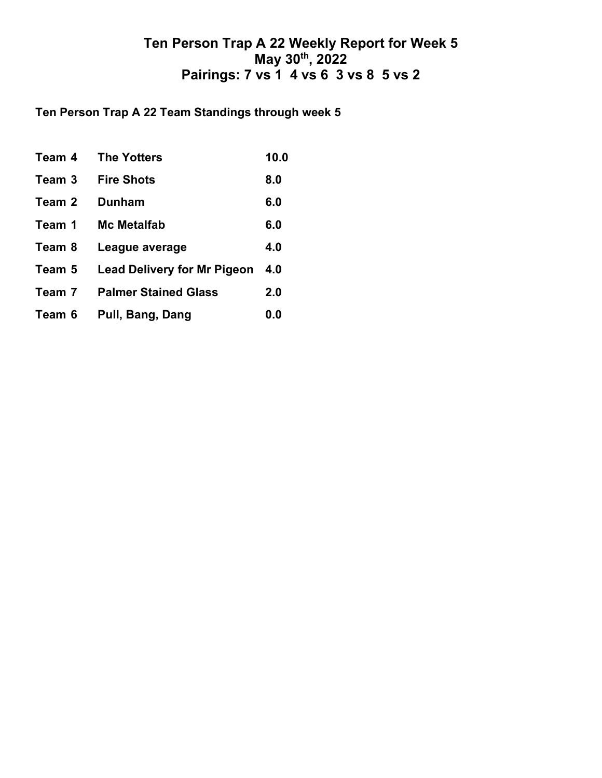## **Ten Person Trap A 22 Team Standings through week 5**

| Team 4 | The Yotters                        | 10.0 |
|--------|------------------------------------|------|
| Team 3 | <b>Fire Shots</b>                  | 8.0  |
| Team 2 | <b>Dunham</b>                      | 6.0  |
| Team 1 | <b>Mc Metalfab</b>                 | 6.0  |
| Team 8 | League average                     | 4.0  |
| Team 5 | <b>Lead Delivery for Mr Pigeon</b> | 4.0  |
| Team 7 | <b>Palmer Stained Glass</b>        | 2.0  |
| Team 6 | Pull, Bang, Dang                   | 0.0  |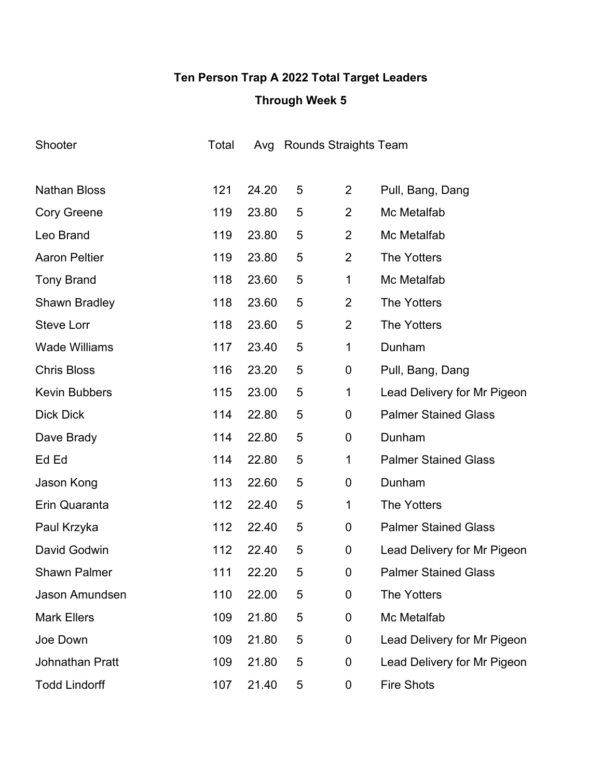# **Ten Person Trap A 2022 Total Target Leaders Through Week 5**

| Shooter                | Total |       |   | Avg Rounds Straights Team |                             |
|------------------------|-------|-------|---|---------------------------|-----------------------------|
|                        |       |       |   |                           |                             |
| <b>Nathan Bloss</b>    | 121   | 24.20 | 5 | $\overline{2}$            | Pull, Bang, Dang            |
| <b>Cory Greene</b>     | 119   | 23.80 | 5 | $\overline{2}$            | Mc Metalfab                 |
| Leo Brand              | 119   | 23.80 | 5 | $\overline{2}$            | Mc Metalfab                 |
| <b>Aaron Peltier</b>   | 119   | 23.80 | 5 | $\overline{2}$            | <b>The Yotters</b>          |
| <b>Tony Brand</b>      | 118   | 23.60 | 5 | 1                         | Mc Metalfab                 |
| Shawn Bradley          | 118   | 23.60 | 5 | $\overline{2}$            | <b>The Yotters</b>          |
| <b>Steve Lorr</b>      | 118   | 23.60 | 5 | $\overline{2}$            | <b>The Yotters</b>          |
| <b>Wade Williams</b>   | 117   | 23.40 | 5 | 1                         | Dunham                      |
| <b>Chris Bloss</b>     | 116   | 23.20 | 5 | 0                         | Pull, Bang, Dang            |
| <b>Kevin Bubbers</b>   | 115   | 23.00 | 5 | 1                         | Lead Delivery for Mr Pigeon |
| <b>Dick Dick</b>       | 114   | 22.80 | 5 | $\mathbf 0$               | <b>Palmer Stained Glass</b> |
| Dave Brady             | 114   | 22.80 | 5 | 0                         | Dunham                      |
| Ed Ed                  | 114   | 22.80 | 5 | 1                         | <b>Palmer Stained Glass</b> |
| Jason Kong             | 113   | 22.60 | 5 | 0                         | Dunham                      |
| Erin Quaranta          | 112   | 22.40 | 5 | 1                         | <b>The Yotters</b>          |
| Paul Krzyka            | 112   | 22.40 | 5 | 0                         | <b>Palmer Stained Glass</b> |
| David Godwin           | 112   | 22.40 | 5 | 0                         | Lead Delivery for Mr Pigeon |
| <b>Shawn Palmer</b>    | 111   | 22.20 | 5 | 0                         | <b>Palmer Stained Glass</b> |
| Jason Amundsen         | 110   | 22.00 | 5 | 0                         | <b>The Yotters</b>          |
| <b>Mark Ellers</b>     | 109   | 21.80 | 5 | 0                         | Mc Metalfab                 |
| Joe Down               | 109   | 21.80 | 5 | $\boldsymbol{0}$          | Lead Delivery for Mr Pigeon |
| <b>Johnathan Pratt</b> | 109   | 21.80 | 5 | 0                         | Lead Delivery for Mr Pigeon |
| <b>Todd Lindorff</b>   | 107   | 21.40 | 5 | $\boldsymbol{0}$          | <b>Fire Shots</b>           |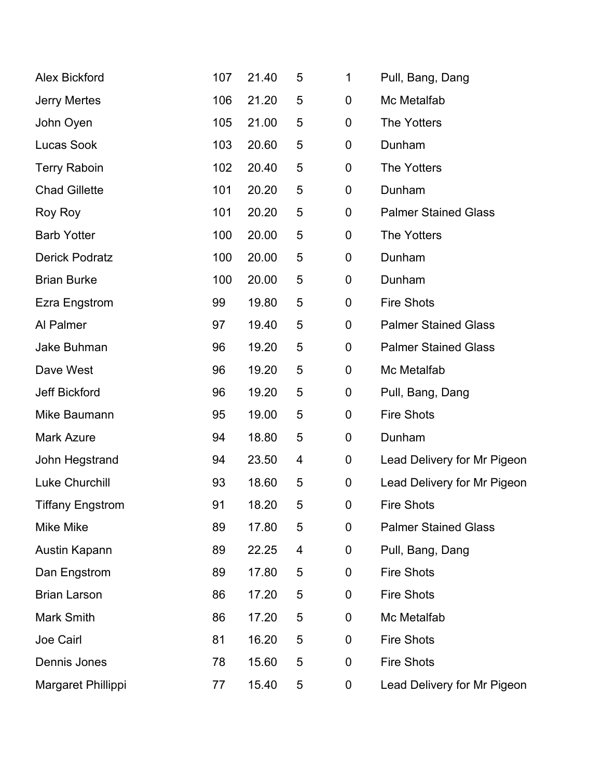| <b>Alex Bickford</b>    | 107 | 21.40 | 5 | 1 | Pull, Bang, Dang            |
|-------------------------|-----|-------|---|---|-----------------------------|
| <b>Jerry Mertes</b>     | 106 | 21.20 | 5 | 0 | Mc Metalfab                 |
| John Oyen               | 105 | 21.00 | 5 | 0 | The Yotters                 |
| <b>Lucas Sook</b>       | 103 | 20.60 | 5 | 0 | Dunham                      |
| <b>Terry Raboin</b>     | 102 | 20.40 | 5 | 0 | The Yotters                 |
| <b>Chad Gillette</b>    | 101 | 20.20 | 5 | 0 | Dunham                      |
| Roy Roy                 | 101 | 20.20 | 5 | 0 | <b>Palmer Stained Glass</b> |
| <b>Barb Yotter</b>      | 100 | 20.00 | 5 | 0 | <b>The Yotters</b>          |
| <b>Derick Podratz</b>   | 100 | 20.00 | 5 | 0 | Dunham                      |
| <b>Brian Burke</b>      | 100 | 20.00 | 5 | 0 | Dunham                      |
| Ezra Engstrom           | 99  | 19.80 | 5 | 0 | <b>Fire Shots</b>           |
| Al Palmer               | 97  | 19.40 | 5 | 0 | <b>Palmer Stained Glass</b> |
| Jake Buhman             | 96  | 19.20 | 5 | 0 | <b>Palmer Stained Glass</b> |
| Dave West               | 96  | 19.20 | 5 | 0 | Mc Metalfab                 |
| <b>Jeff Bickford</b>    | 96  | 19.20 | 5 | 0 | Pull, Bang, Dang            |
| Mike Baumann            | 95  | 19.00 | 5 | 0 | <b>Fire Shots</b>           |
| <b>Mark Azure</b>       | 94  | 18.80 | 5 | 0 | Dunham                      |
| John Hegstrand          | 94  | 23.50 | 4 | 0 | Lead Delivery for Mr Pigeon |
| <b>Luke Churchill</b>   | 93  | 18.60 | 5 | 0 | Lead Delivery for Mr Pigeon |
| <b>Tiffany Engstrom</b> | 91  | 18.20 | 5 | 0 | <b>Fire Shots</b>           |
| Mike Mike               | 89  | 17.80 | 5 | 0 | <b>Palmer Stained Glass</b> |
| Austin Kapann           | 89  | 22.25 | 4 | 0 | Pull, Bang, Dang            |
| Dan Engstrom            | 89  | 17.80 | 5 | 0 | <b>Fire Shots</b>           |
| <b>Brian Larson</b>     | 86  | 17.20 | 5 | 0 | <b>Fire Shots</b>           |
| <b>Mark Smith</b>       | 86  | 17.20 | 5 | 0 | Mc Metalfab                 |
| Joe Cairl               | 81  | 16.20 | 5 | 0 | <b>Fire Shots</b>           |
| Dennis Jones            | 78  | 15.60 | 5 | 0 | <b>Fire Shots</b>           |
| Margaret Phillippi      | 77  | 15.40 | 5 | 0 | Lead Delivery for Mr Pigeon |